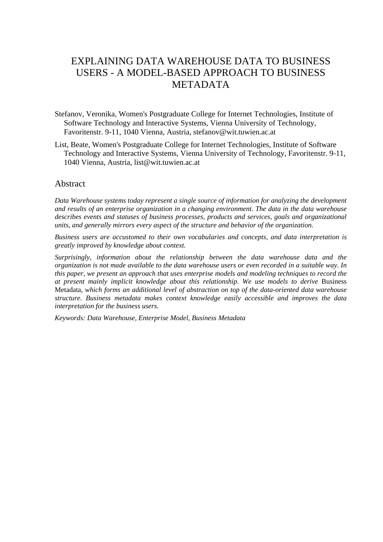# EXPLAINING DATA WAREHOUSE DATA TO BUSINESS USERS - A MODEL-BASED APPROACH TO BUSINESS METADATA

- Stefanov, Veronika, Women's Postgraduate College for Internet Technologies, Institute of Software Technology and Interactive Systems, Vienna University of Technology, Favoritenstr. 9-11, 1040 Vienna, Austria, stefanov@wit.tuwien.ac.at
- List, Beate, Women's Postgraduate College for Internet Technologies, Institute of Software Technology and Interactive Systems, Vienna University of Technology, Favoritenstr. 9-11, 1040 Vienna, Austria, list@wit.tuwien.ac.at

#### Abstract

*Data Warehouse systems today represent a single source of information for analyzing the development and results of an enterprise organization in a changing environment. The data in the data warehouse describes events and statuses of business processes, products and services, goals and organizational units, and generally mirrors every aspect of the structure and behavior of the organization.* 

*Business users are accustomed to their own vocabularies and concepts, and data interpretation is greatly improved by knowledge about context.* 

*Surprisingly, information about the relationship between the data warehouse data and the organization is not made available to the data warehouse users or even recorded in a suitable way. In this paper, we present an approach that uses enterprise models and modeling techniques to record the at present mainly implicit knowledge about this relationship. We use models to derive* Business Metadata*, which forms an additional level of abstraction on top of the data-oriented data warehouse structure. Business metadata makes context knowledge easily accessible and improves the data interpretation for the business users.* 

*Keywords: Data Warehouse, Enterprise Model, Business Metadata*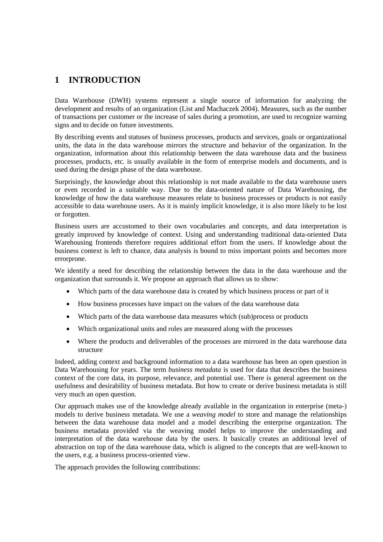## **1 INTRODUCTION**

Data Warehouse (DWH) systems represent a single source of information for analyzing the development and results of an organization (List and Machaczek 2004). Measures, such as the number of transactions per customer or the increase of sales during a promotion, are used to recognize warning signs and to decide on future investments.

By describing events and statuses of business processes, products and services, goals or organizational units, the data in the data warehouse mirrors the structure and behavior of the organization. In the organization, information about this relationship between the data warehouse data and the business processes, products, etc. is usually available in the form of enterprise models and documents, and is used during the design phase of the data warehouse.

Surprisingly, the knowledge about this relationship is not made available to the data warehouse users or even recorded in a suitable way. Due to the data-oriented nature of Data Warehousing, the knowledge of how the data warehouse measures relate to business processes or products is not easily accessible to data warehouse users. As it is mainly implicit knowledge, it is also more likely to be lost or forgotten.

Business users are accustomed to their own vocabularies and concepts, and data interpretation is greatly improved by knowledge of context. Using and understanding traditional data-oriented Data Warehousing frontends therefore requires additional effort from the users. If knowledge about the business context is left to chance, data analysis is bound to miss important points and becomes more errorprone.

We identify a need for describing the relationship between the data in the data warehouse and the organization that surrounds it. We propose an approach that allows us to show:

- Which parts of the data warehouse data is created by which business process or part of it
- How business processes have impact on the values of the data warehouse data
- Which parts of the data warehouse data measures which (sub)process or products
- Which organizational units and roles are measured along with the processes
- Where the products and deliverables of the processes are mirrored in the data warehouse data structure

Indeed, adding context and background information to a data warehouse has been an open question in Data Warehousing for years. The term *business metadata* is used for data that describes the business context of the core data, its purpose, relevance, and potential use. There is general agreement on the usefulness and desirability of business metadata. But how to create or derive business metadata is still very much an open question.

Our approach makes use of the knowledge already available in the organization in enterprise (meta-) models to derive business metadata. We use a *weaving model* to store and manage the relationships between the data warehouse data model and a model describing the enterprise organization. The business metadata provided via the weaving model helps to improve the understanding and interpretation of the data warehouse data by the users. It basically creates an additional level of abstraction on top of the data warehouse data, which is aligned to the concepts that are well-known to the users, e.g. a business process-oriented view.

The approach provides the following contributions: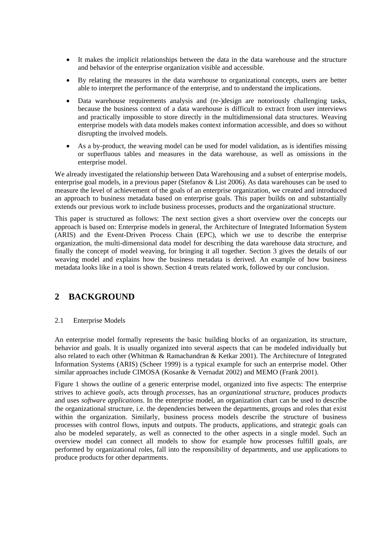- It makes the implicit relationships between the data in the data warehouse and the structure and behavior of the enterprise organization visible and accessible.
- By relating the measures in the data warehouse to organizational concepts, users are better able to interpret the performance of the enterprise, and to understand the implications.
- Data warehouse requirements analysis and (re-)design are notoriously challenging tasks, because the business context of a data warehouse is difficult to extract from user interviews and practically impossible to store directly in the multidimensional data structures. Weaving enterprise models with data models makes context information accessible, and does so without disrupting the involved models.
- As a by-product, the weaving model can be used for model validation, as is identifies missing or superfluous tables and measures in the data warehouse, as well as omissions in the enterprise model.

We already investigated the relationship between Data Warehousing and a subset of enterprise models, enterprise goal models, in a previous paper (Stefanov & List 2006). As data warehouses can be used to measure the level of achievement of the goals of an enterprise organization, we created and introduced an approach to business metadata based on enterprise goals. This paper builds on and substantially extends our previous work to include business processes, products and the organizational structure.

This paper is structured as follows: The next section gives a short overview over the concepts our approach is based on: Enterprise models in general, the Architecture of Integrated Information System (ARIS) and the Event-Driven Process Chain (EPC), which we use to describe the enterprise organization, the multi-dimensional data model for describing the data warehouse data structure, and finally the concept of model weaving, for bringing it all together. Section 3 gives the details of our weaving model and explains how the business metadata is derived. An example of how business metadata looks like in a tool is shown. Section 4 treats related work, followed by our conclusion.

## **2 BACKGROUND**

#### 2.1 Enterprise Models

An enterprise model formally represents the basic building blocks of an organization, its structure, behavior and goals. It is usually organized into several aspects that can be modeled individually but also related to each other (Whitman & Ramachandran & Ketkar 2001). The Architecture of Integrated Information Systems (ARIS) (Scheer 1999) is a typical example for such an enterprise model. Other similar approaches include CIMOSA (Kosanke & Vernadat 2002) and MEMO (Frank 2001).

Figure 1 shows the outline of a generic enterprise model, organized into five aspects: The enterprise strives to achieve *goals*, acts through *processes*, has an *organizational structure*, produces *products* and uses *software applications*. In the enterprise model, an organization chart can be used to describe the organizational structure, i.e. the dependencies between the departments, groups and roles that exist within the organization. Similarly, business process models describe the structure of business processes with control flows, inputs and outputs. The products, applications, and strategic goals can also be modeled separately, as well as connected to the other aspects in a single model. Such an overview model can connect all models to show for example how processes fulfill goals, are performed by organizational roles, fall into the responsibility of departments, and use applications to produce products for other departments.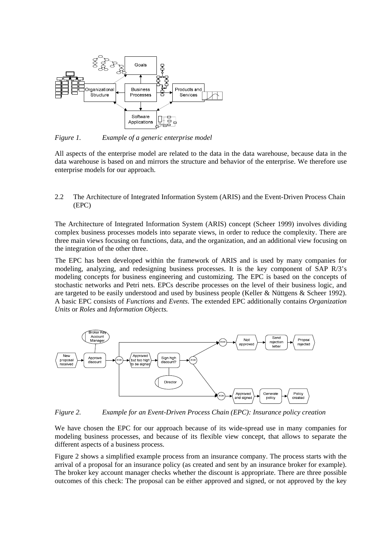

*Figure 1. Example of a generic enterprise model* 

All aspects of the enterprise model are related to the data in the data warehouse, because data in the data warehouse is based on and mirrors the structure and behavior of the enterprise. We therefore use enterprise models for our approach.

2.2 The Architecture of Integrated Information System (ARIS) and the Event-Driven Process Chain (EPC)

The Architecture of Integrated Information System (ARIS) concept (Scheer 1999) involves dividing complex business processes models into separate views, in order to reduce the complexity. There are three main views focusing on functions, data, and the organization, and an additional view focusing on the integration of the other three.

The EPC has been developed within the framework of ARIS and is used by many companies for modeling, analyzing, and redesigning business processes. It is the key component of SAP R/3's modeling concepts for business engineering and customizing. The EPC is based on the concepts of stochastic networks and Petri nets. EPCs describe processes on the level of their business logic, and are targeted to be easily understood and used by business people (Keller & Nüttgens & Scheer 1992). A basic EPC consists of *Functions* and *Events*. The extended EPC additionally contains *Organization Units* or *Roles* and *Information Objects.*



*Figure 2. Example for an Event-Driven Process Chain (EPC): Insurance policy creation* 

We have chosen the EPC for our approach because of its wide-spread use in many companies for modeling business processes, and because of its flexible view concept, that allows to separate the different aspects of a business process.

Figure 2 shows a simplified example process from an insurance company. The process starts with the arrival of a proposal for an insurance policy (as created and sent by an insurance broker for example). The broker key account manager checks whether the discount is appropriate. There are three possible outcomes of this check: The proposal can be either approved and signed, or not approved by the key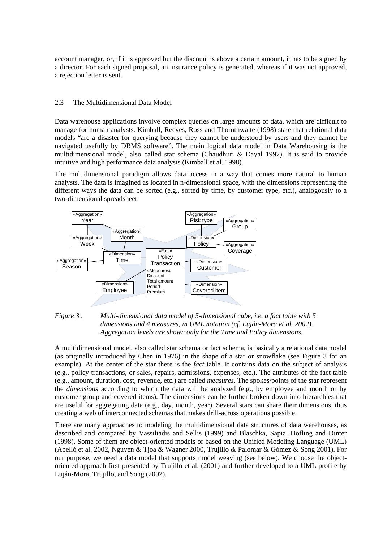account manager, or, if it is approved but the discount is above a certain amount, it has to be signed by a director. For each signed proposal, an insurance policy is generated, whereas if it was not approved, a rejection letter is sent.

#### 2.3 The Multidimensional Data Model

Data warehouse applications involve complex queries on large amounts of data, which are difficult to manage for human analysts. Kimball, Reeves, Ross and Thornthwaite (1998) state that relational data models "are a disaster for querying because they cannot be understood by users and they cannot be navigated usefully by DBMS software". The main logical data model in Data Warehousing is the multidimensional model, also called star schema (Chaudhuri & Dayal 1997). It is said to provide intuitive and high performance data analysis (Kimball et al. 1998).

The multidimensional paradigm allows data access in a way that comes more natural to human analysts. The data is imagined as located in n-dimensional space, with the dimensions representing the different ways the data can be sorted (e.g., sorted by time, by customer type, etc.), analogously to a two-dimensional spreadsheet.





A multidimensional model, also called star schema or fact schema, is basically a relational data model (as originally introduced by Chen in 1976) in the shape of a star or snowflake (see Figure 3 for an example). At the center of the star there is the *fact* table. It contains data on the subject of analysis (e.g., policy transactions, or sales, repairs, admissions, expenses, etc.). The attributes of the fact table (e.g., amount, duration, cost, revenue, etc.) are called *measures*. The spokes/points of the star represent the *dimensions* according to which the data will be analyzed (e.g., by employee and month or by customer group and covered items). The dimensions can be further broken down into hierarchies that are useful for aggregating data (e.g., day, month, year). Several stars can share their dimensions, thus creating a web of interconnected schemas that makes drill-across operations possible.

There are many approaches to modeling the multidimensional data structures of data warehouses, as described and compared by Vassiliadis and Sellis (1999) and Blaschka, Sapia, Höfling and Dinter (1998). Some of them are object-oriented models or based on the Unified Modeling Language (UML) (Abelló et al. 2002, Nguyen & Tjoa & Wagner 2000, Trujillo & Palomar & Gómez & Song 2001). For our purpose, we need a data model that supports model weaving (see below). We choose the objectoriented approach first presented by Trujillo et al. (2001) and further developed to a UML profile by Luján-Mora, Trujillo, and Song (2002).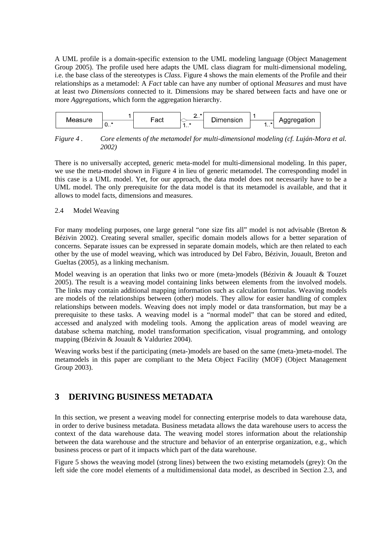A UML profile is a domain-specific extension to the UML modeling language (Object Management Group 2005). The profile used here adapts the UML class diagram for multi-dimensional modeling, i.e. the base class of the stereotypes is *Class*. Figure 4 shows the main elements of the Profile and their relationships as a metamodel: A *Fact* table can have any number of optional *Measures* and must have at least two *Dimensions* connected to it. Dimensions may be shared between facts and have one or more *Aggregations*, which form the aggregation hierarchy.



*Figure 4 . Core elements of the metamodel for multi-dimensional modeling (cf. Luján-Mora et al. 2002)* 

There is no universally accepted, generic meta-model for multi-dimensional modeling. In this paper, we use the meta-model shown in Figure 4 in lieu of generic metamodel. The corresponding model in this case is a UML model. Yet, for our approach, the data model does not necessarily have to be a UML model. The only prerequisite for the data model is that its metamodel is available, and that it allows to model facts, dimensions and measures.

#### 2.4 Model Weaving

For many modeling purposes, one large general "one size fits all" model is not advisable (Breton & Bézivin 2002). Creating several smaller, specific domain models allows for a better separation of concerns. Separate issues can be expressed in separate domain models, which are then related to each other by the use of model weaving, which was introduced by Del Fabro, Bézivin, Jouault, Breton and Gueltas (2005), as a linking mechanism.

Model weaving is an operation that links two or more (meta-)models (Bézivin & Jouault & Touzet 2005). The result is a weaving model containing links between elements from the involved models. The links may contain additional mapping information such as calculation formulas. Weaving models are models of the relationships between (other) models. They allow for easier handling of complex relationships between models. Weaving does not imply model or data transformation, but may be a prerequisite to these tasks. A weaving model is a "normal model" that can be stored and edited, accessed and analyzed with modeling tools. Among the application areas of model weaving are database schema matching, model transformation specification, visual programming, and ontology mapping (Bézivin & Jouault & Valduriez 2004).

Weaving works best if the participating (meta-)models are based on the same (meta-)meta-model. The metamodels in this paper are compliant to the Meta Object Facility (MOF) (Object Management Group 2003).

## **3 DERIVING BUSINESS METADATA**

In this section, we present a weaving model for connecting enterprise models to data warehouse data, in order to derive business metadata. Business metadata allows the data warehouse users to access the context of the data warehouse data. The weaving model stores information about the relationship between the data warehouse and the structure and behavior of an enterprise organization, e.g., which business process or part of it impacts which part of the data warehouse.

Figure 5 shows the weaving model (strong lines) between the two existing metamodels (grey): On the left side the core model elements of a multidimensional data model, as described in Section 2.3, and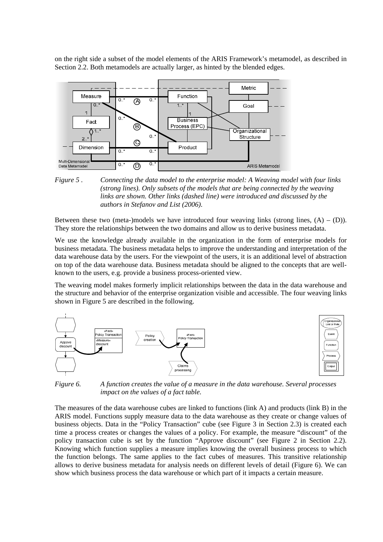on the right side a subset of the model elements of the ARIS Framework's metamodel, as described in Section 2.2. Both metamodels are actually larger, as hinted by the blended edges.



*Figure 5 . Connecting the data model to the enterprise model: A Weaving model with four links (strong lines). Only subsets of the models that are being connected by the weaving links are shown. Other links (dashed line) were introduced and discussed by the authors in Stefanov and List (2006).* 

Between these two (meta-)models we have introduced four weaving links (strong lines,  $(A) - (D)$ ). They store the relationships between the two domains and allow us to derive business metadata.

We use the knowledge already available in the organization in the form of enterprise models for business metadata. The business metadata helps to improve the understanding and interpretation of the data warehouse data by the users. For the viewpoint of the users, it is an additional level of abstraction on top of the data warehouse data. Business metadata should be aligned to the concepts that are wellknown to the users, e.g. provide a business process-oriented view.

The weaving model makes formerly implicit relationships between the data in the data warehouse and the structure and behavior of the enterprise organization visible and accessible. The four weaving links shown in Figure 5 are described in the following.



*Figure 6. A function creates the value of a measure in the data warehouse. Several processes impact on the values of a fact table.* 

The measures of the data warehouse cubes are linked to functions (link A) and products (link B) in the ARIS model. Functions supply measure data to the data warehouse as they create or change values of business objects. Data in the "Policy Transaction" cube (see Figure 3 in Section 2.3) is created each time a process creates or changes the values of a policy. For example, the measure "discount" of the policy transaction cube is set by the function "Approve discount" (see Figure 2 in Section 2.2). Knowing which function supplies a measure implies knowing the overall business process to which the function belongs. The same applies to the fact cubes of measures. This transitive relationship allows to derive business metadata for analysis needs on different levels of detail (Figure 6). We can show which business process the data warehouse or which part of it impacts a certain measure.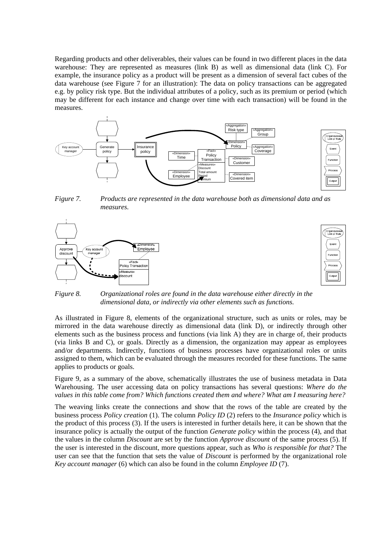Regarding products and other deliverables, their values can be found in two different places in the data warehouse: They are represented as measures (link B) as well as dimensional data (link C). For example, the insurance policy as a product will be present as a dimension of several fact cubes of the data warehouse (see Figure 7 for an illustration): The data on policy transactions can be aggregated e.g. by policy risk type. But the individual attributes of a policy, such as its premium or period (which may be different for each instance and change over time with each transaction) will be found in the measures.



*Figure 7. Products are represented in the data warehouse both as dimensional data and as measures.* 





*Figure 8. Organizational roles are found in the data warehouse either directly in the dimensional data, or indirectly via other elements such as functions.* 

As illustrated in Figure 8, elements of the organizational structure, such as units or roles, may be mirrored in the data warehouse directly as dimensional data (link D), or indirectly through other elements such as the business process and functions (via link A) they are in charge of, their products (via links B and C), or goals. Directly as a dimension, the organization may appear as employees and/or departments. Indirectly, functions of business processes have organizational roles or units assigned to them, which can be evaluated through the measures recorded for these functions. The same applies to products or goals.

Figure 9, as a summary of the above, schematically illustrates the use of business metadata in Data Warehousing. The user accessing data on policy transactions has several questions: *Where do the values in this table come from? Which functions created them and where? What am I measuring here?*

The weaving links create the connections and show that the rows of the table are created by the business process *Policy creation* (1). The column *Policy ID* (2) refers to the *Insurance policy* which is the product of this process (3). If the users is interested in further details here, it can be shown that the insurance policy is actually the output of the function *Generate policy* within the process (4), and that the values in the column *Discount* are set by the function *Approve discount* of the same process (5). If the user is interested in the discount, more questions appear, such as *Who is responsible for that?* The user can see that the function that sets the value of *Discount* is performed by the organizational role *Key account manager* (6) which can also be found in the column *Employee ID* (7).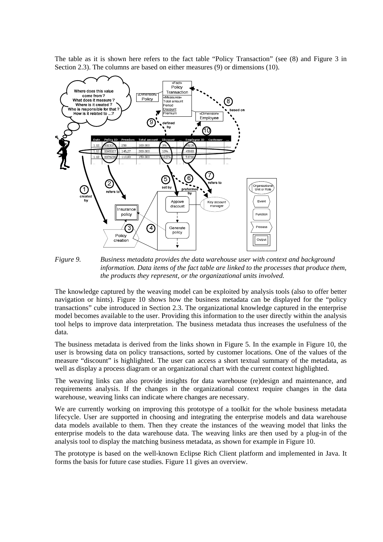The table as it is shown here refers to the fact table "Policy Transaction" (see (8) and Figure 3 in Section 2.3). The columns are based on either measures (9) or dimensions (10).



*Figure 9. Business metadata provides the data warehouse user with context and background information. Data items of the fact table are linked to the processes that produce them, the products they represent, or the organizational units involved.* 

The knowledge captured by the weaving model can be exploited by analysis tools (also to offer better navigation or hints). Figure 10 shows how the business metadata can be displayed for the "policy transactions" cube introduced in Section 2.3. The organizational knowledge captured in the enterprise model becomes available to the user. Providing this information to the user directly within the analysis tool helps to improve data interpretation. The business metadata thus increases the usefulness of the data.

The business metadata is derived from the links shown in Figure 5. In the example in Figure 10, the user is browsing data on policy transactions, sorted by customer locations. One of the values of the measure "discount" is highlighted. The user can access a short textual summary of the metadata, as well as display a process diagram or an organizational chart with the current context highlighted.

The weaving links can also provide insights for data warehouse (re)design and maintenance, and requirements analysis. If the changes in the organizational context require changes in the data warehouse, weaving links can indicate where changes are necessary.

We are currently working on improving this prototype of a toolkit for the whole business metadata lifecycle. User are supported in choosing and integrating the enterprise models and data warehouse data models available to them. Then they create the instances of the weaving model that links the enterprise models to the data warehouse data. The weaving links are then used by a plug-in of the analysis tool to display the matching business metadata, as shown for example in Figure 10.

The prototype is based on the well-known Eclipse Rich Client platform and implemented in Java. It forms the basis for future case studies. Figure 11 gives an overview.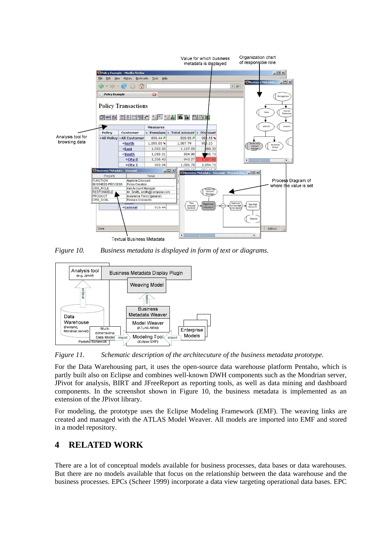

*Figure 10. Business metadata is displayed in form of text or diagrams.* 



*Figure 11. Schematic description of the architecuture of the business metadata prototype.* 

For the Data Warehousing part, it uses the open-source data warehouse platform Pentaho, which is partly built also on Eclipse and combines well-known DWH components such as the Mondrian server, JPivot for analysis, BIRT and JFreeReport as reporting tools, as well as data mining and dashboard components. In the screenshot shown in Figure 10, the business metadata is implemented as an extension of the JPivot library.

For modeling, the prototype uses the Eclipse Modeling Framework (EMF). The weaving links are created and managed with the ATLAS Model Weaver. All models are imported into EMF and stored in a model repository.

## **4 RELATED WORK**

There are a lot of conceptual models available for business processes, data bases or data warehouses. But there are no models available that focus on the relationship between the data warehouse and the business processes. EPCs (Scheer 1999) incorporate a data view targeting operational data bases. EPC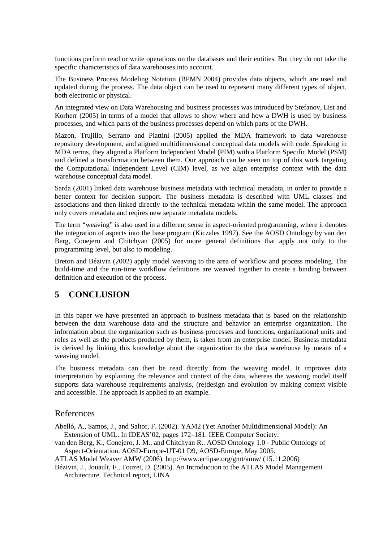functions perform read or write operations on the databases and their entities. But they do not take the specific characteristics of data warehouses into account.

The Business Process Modeling Notation (BPMN 2004) provides data objects, which are used and updated during the process. The data object can be used to represent many different types of object, both electronic or physical.

An integrated view on Data Warehousing and business processes was introduced by Stefanov, List and Korherr (2005) in terms of a model that allows to show where and how a DWH is used by business processes, and which parts of the business processes depend on which parts of the DWH.

Mazon, Trujillo, Serrano and Piattini (2005) applied the MDA framework to data warehouse repository development, and aligned multidimensional conceptual data models with code. Speaking in MDA terms, they aligned a Platform Independent Model (PIM) with a Platform Specific Model (PSM) and defined a transformation between them. Our approach can be seen on top of this work targeting the Computational Independent Level (CIM) level, as we align enterprise context with the data warehouse conceptual data model.

Sarda (2001) linked data warehouse business metadata with technical metadata, in order to provide a better context for decision support. The business metadata is described with UML classes and associations and then linked directly to the technical metadata within the same model. The approach only covers metadata and reqires new separate metadata models.

The term "weaving" is also used in a different sense in aspect-oriented programming, where it denotes the integration of aspects into the base program (Kiczales 1997). See the AOSD Ontology by van den Berg, Conejero and Chitchyan (2005) for more general definitions that apply not only to the programming level, but also to modeling.

Breton and Bézivin (2002) apply model weaving to the area of workflow and process modeling. The build-time and the run-time workflow definitions are weaved together to create a binding between definition and execution of the process.

## **5 CONCLUSION**

In this paper we have presented an approach to business metadata that is based on the relationship between the data warehouse data and the structure and behavior an enterprise organization. The information about the organization such as business processes and functions, organizational units and roles as well as the products produced by them, is taken from an enterprise model. Business metadata is derived by linking this knowledge about the organization to the data warehouse by means of a weaving model.

The business metadata can then be read directly from the weaving model. It improves data interpretation by explaining the relevance and context of the data, whereas the weaving model itself supports data warehouse requirements analysis, (re)design and evolution by making context visible and accessible. The approach is applied to an example.

#### References

Abelló, A., Samos, J., and Saltor, F. (2002). YAM2 (Yet Another Multidimensional Model): An Extension of UML. In IDEAS'02, pages 172–181. IEEE Computer Society.

van den Berg, K., Conejero, J. M., and Chitchyan R.. AOSD Ontology 1.0 - Public Ontology of Aspect-Orientation. AOSD-Europe-UT-01 D9, AOSD-Europe, May 2005.

ATLAS Model Weaver AMW (2006). http://www.eclipse.org/gmt/amw/ (15.11.2006)

Bézivin, J., Jouault, F., Touzet, D. (2005). An Introduction to the ATLAS Model Management Architecture. Technical report, LINA